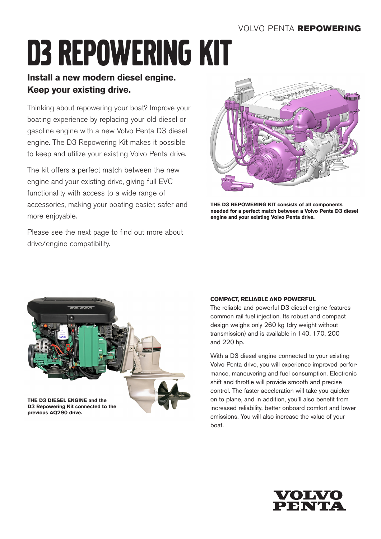# D3 repowering kit

## **Install a new modern diesel engine. Keep your existing drive.**

Thinking about repowering your boat? Improve your boating experience by replacing your old diesel or gasoline engine with a new Volvo Penta D3 diesel engine. The D3 Repowering Kit makes it possible to keep and utilize your existing Volvo Penta drive.

The kit offers a perfect match between the new engine and your existing drive, giving full EVC functionality with access to a wide range of accessories, making your boating easier, safer and more enjoyable.

Please see the next page to find out more about drive/engine compatibility.



**THE D3 REPOWERING KIT consists of all components needed for a perfect match between a Volvo Penta D3 diesel engine and your existing Volvo Penta drive.**



## **COMPACT, RELIABLE AND POWERFUL**

The reliable and powerful D3 diesel engine features common rail fuel injection. Its robust and compact design weighs only 260 kg (dry weight without transmission) and is available in 140, 170, 200 and 220 hp.

With a D3 diesel engine connected to your existing Volvo Penta drive, you will experience improved performance, maneuvering and fuel consumption. Electronic shift and throttle will provide smooth and precise control. The faster acceleration will take you quicker on to plane, and in addition, you'll also benefit from increased reliability, better onboard comfort and lower emissions. You will also increase the value of your boat.